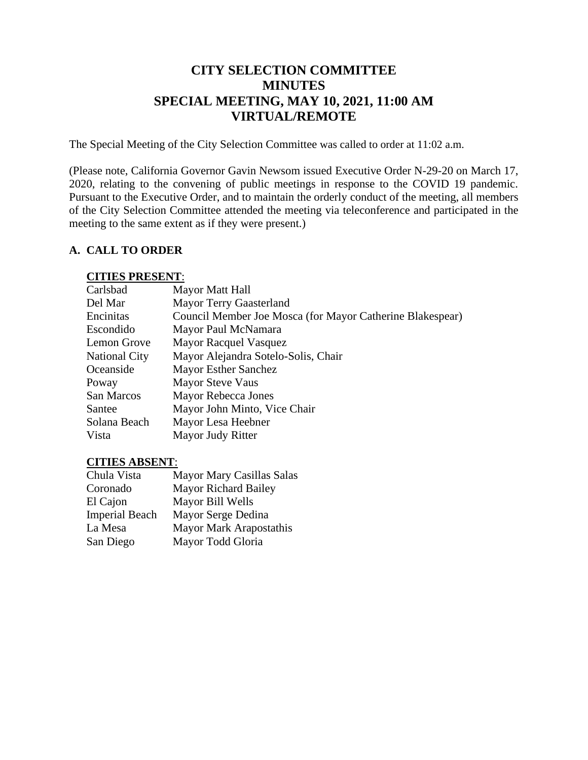# **CITY SELECTION COMMITTEE MINUTES SPECIAL MEETING, MAY 10, 2021, 11:00 AM VIRTUAL/REMOTE**

The Special Meeting of the City Selection Committee was called to order at 11:02 a.m.

(Please note, California Governor Gavin Newsom issued Executive Order N-29-20 on March 17, 2020, relating to the convening of public meetings in response to the COVID 19 pandemic. Pursuant to the Executive Order, and to maintain the orderly conduct of the meeting, all members of the City Selection Committee attended the meeting via teleconference and participated in the meeting to the same extent as if they were present.)

#### **A. CALL TO ORDER**

#### **CITIES PRESENT**:

| Mayor Matt Hall                                           |
|-----------------------------------------------------------|
| <b>Mayor Terry Gaasterland</b>                            |
| Council Member Joe Mosca (for Mayor Catherine Blakespear) |
| Mayor Paul McNamara                                       |
| <b>Mayor Racquel Vasquez</b>                              |
| Mayor Alejandra Sotelo-Solis, Chair                       |
| <b>Mayor Esther Sanchez</b>                               |
| <b>Mayor Steve Vaus</b>                                   |
| Mayor Rebecca Jones                                       |
| Mayor John Minto, Vice Chair                              |
| Mayor Lesa Heebner                                        |
| Mayor Judy Ritter                                         |
|                                                           |

#### **CITIES ABSENT**:

| Chula Vista           | <b>Mayor Mary Casillas Salas</b> |
|-----------------------|----------------------------------|
| Coronado              | <b>Mayor Richard Bailey</b>      |
| El Cajon              | Mayor Bill Wells                 |
| <b>Imperial Beach</b> | Mayor Serge Dedina               |
| La Mesa               | <b>Mayor Mark Arapostathis</b>   |
| San Diego             | Mayor Todd Gloria                |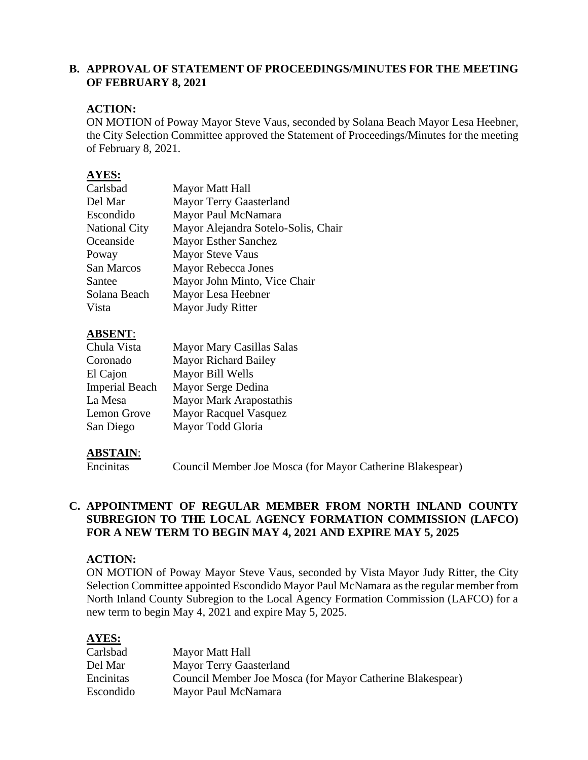#### **B. APPROVAL OF STATEMENT OF PROCEEDINGS/MINUTES FOR THE MEETING OF FEBRUARY 8, 2021**

### **ACTION:**

ON MOTION of Poway Mayor Steve Vaus, seconded by Solana Beach Mayor Lesa Heebner, the City Selection Committee approved the Statement of Proceedings/Minutes for the meeting of February 8, 2021.

### **AYES:**

| Carlsbad             | Mayor Matt Hall                     |
|----------------------|-------------------------------------|
| Del Mar              | <b>Mayor Terry Gaasterland</b>      |
| Escondido            | Mayor Paul McNamara                 |
| <b>National City</b> | Mayor Alejandra Sotelo-Solis, Chair |
| Oceanside            | <b>Mayor Esther Sanchez</b>         |
| Poway                | <b>Mayor Steve Vaus</b>             |
| San Marcos           | Mayor Rebecca Jones                 |
| Santee               | Mayor John Minto, Vice Chair        |
| Solana Beach         | Mayor Lesa Heebner                  |
| Vista                | Mayor Judy Ritter                   |
|                      |                                     |

# **ABSENT**:

| Chula Vista           | Mayor Mary Casillas Salas      |
|-----------------------|--------------------------------|
| Coronado              | <b>Mayor Richard Bailey</b>    |
| El Cajon              | Mayor Bill Wells               |
| <b>Imperial Beach</b> | Mayor Serge Dedina             |
| La Mesa               | <b>Mayor Mark Arapostathis</b> |
| Lemon Grove           | <b>Mayor Racquel Vasquez</b>   |
| San Diego             | Mayor Todd Gloria              |

### **ABSTAIN**:

Encinitas Council Member Joe Mosca (for Mayor Catherine Blakespear)

#### **C. APPOINTMENT OF REGULAR MEMBER FROM NORTH INLAND COUNTY SUBREGION TO THE LOCAL AGENCY FORMATION COMMISSION (LAFCO) FOR A NEW TERM TO BEGIN MAY 4, 2021 AND EXPIRE MAY 5, 2025**

#### **ACTION:**

ON MOTION of Poway Mayor Steve Vaus, seconded by Vista Mayor Judy Ritter, the City Selection Committee appointed Escondido Mayor Paul McNamara as the regular member from North Inland County Subregion to the Local Agency Formation Commission (LAFCO) for a new term to begin May 4, 2021 and expire May 5, 2025.

### **AYES:**

| Mayor Matt Hall                                           |
|-----------------------------------------------------------|
| <b>Mayor Terry Gaasterland</b>                            |
| Council Member Joe Mosca (for Mayor Catherine Blakespear) |
| Mayor Paul McNamara                                       |
|                                                           |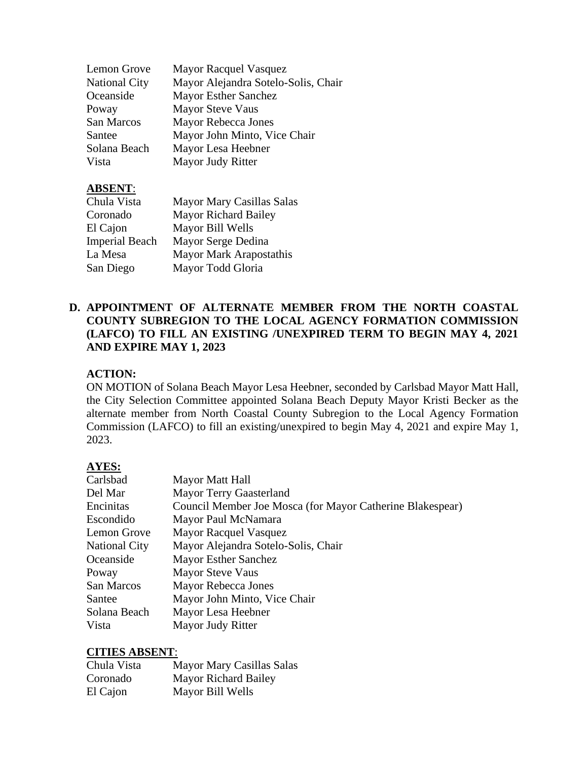| Lemon Grove          | <b>Mayor Racquel Vasquez</b>        |
|----------------------|-------------------------------------|
| <b>National City</b> | Mayor Alejandra Sotelo-Solis, Chair |
| Oceanside            | <b>Mayor Esther Sanchez</b>         |
| Poway                | Mayor Steve Vaus                    |
| San Marcos           | Mayor Rebecca Jones                 |
| Santee               | Mayor John Minto, Vice Chair        |
| Solana Beach         | Mayor Lesa Heebner                  |
| Vista                | Mayor Judy Ritter                   |

# **ABSENT**:

| Chula Vista           | Mayor Mary Casillas Salas      |
|-----------------------|--------------------------------|
| Coronado              | <b>Mayor Richard Bailey</b>    |
| El Cajon              | Mayor Bill Wells               |
| <b>Imperial Beach</b> | Mayor Serge Dedina             |
| La Mesa               | <b>Mayor Mark Arapostathis</b> |
| San Diego             | Mayor Todd Gloria              |

### **D. APPOINTMENT OF ALTERNATE MEMBER FROM THE NORTH COASTAL COUNTY SUBREGION TO THE LOCAL AGENCY FORMATION COMMISSION (LAFCO) TO FILL AN EXISTING /UNEXPIRED TERM TO BEGIN MAY 4, 2021 AND EXPIRE MAY 1, 2023**

# **ACTION:**

ON MOTION of Solana Beach Mayor Lesa Heebner, seconded by Carlsbad Mayor Matt Hall, the City Selection Committee appointed Solana Beach Deputy Mayor Kristi Becker as the alternate member from North Coastal County Subregion to the Local Agency Formation Commission (LAFCO) to fill an existing/unexpired to begin May 4, 2021 and expire May 1, 2023.

# **AYES:**

| Carlsbad             | Mayor Matt Hall                                           |
|----------------------|-----------------------------------------------------------|
| Del Mar              | <b>Mayor Terry Gaasterland</b>                            |
| Encinitas            | Council Member Joe Mosca (for Mayor Catherine Blakespear) |
| Escondido            | Mayor Paul McNamara                                       |
| Lemon Grove          | <b>Mayor Racquel Vasquez</b>                              |
| <b>National City</b> | Mayor Alejandra Sotelo-Solis, Chair                       |
| Oceanside            | <b>Mayor Esther Sanchez</b>                               |
| Poway                | <b>Mayor Steve Vaus</b>                                   |
| San Marcos           | Mayor Rebecca Jones                                       |
| Santee               | Mayor John Minto, Vice Chair                              |
| Solana Beach         | Mayor Lesa Heebner                                        |
| Vista                | Mayor Judy Ritter                                         |

### **CITIES ABSENT**:

| Chula Vista | Mayor Mary Casillas Salas   |
|-------------|-----------------------------|
| Coronado    | <b>Mayor Richard Bailey</b> |
| El Cajon    | Mayor Bill Wells            |